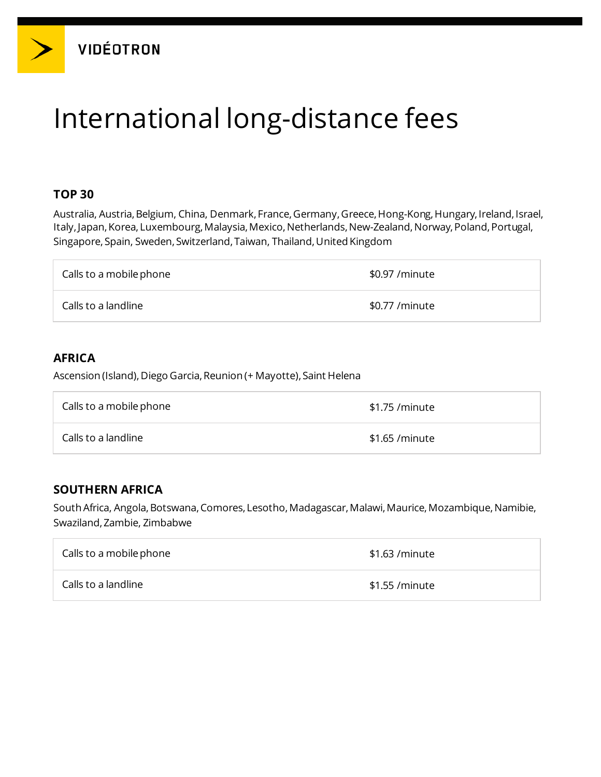# International long-distance fees

## **TOP 30**

Australia, Austria, Belgium, China, Denmark, France, Germany, Greece, Hong-Kong, Hungary, Ireland, Israel, Italy, Japan, Korea, Luxembourg, Malaysia, Mexico, Netherlands, New-Zealand, Norway, Poland, Portugal, Singapore, Spain, Sweden, Switzerland, Taiwan, Thailand,United Kingdom

| Calls to a mobile phone | \$0.97 /minute  |
|-------------------------|-----------------|
| Calls to a landline     | \$0.77 / minute |

## **AFRICA**

Ascension (Island), Diego Garcia, Reunion (+ Mayotte), Saint Helena

| Calls to a mobile phone | \$1.75 /minute  |
|-------------------------|-----------------|
| Calls to a landline     | \$1.65 / minute |

## **SOUTHERN AFRICA**

South Africa, Angola, Botswana, Comores, Lesotho, Madagascar, Malawi, Maurice, Mozambique, Namibie, Swaziland,Zambie, Zimbabwe

| Calls to a mobile phone | $$1.63$ /minute |
|-------------------------|-----------------|
| Calls to a landline     | \$1.55 / minute |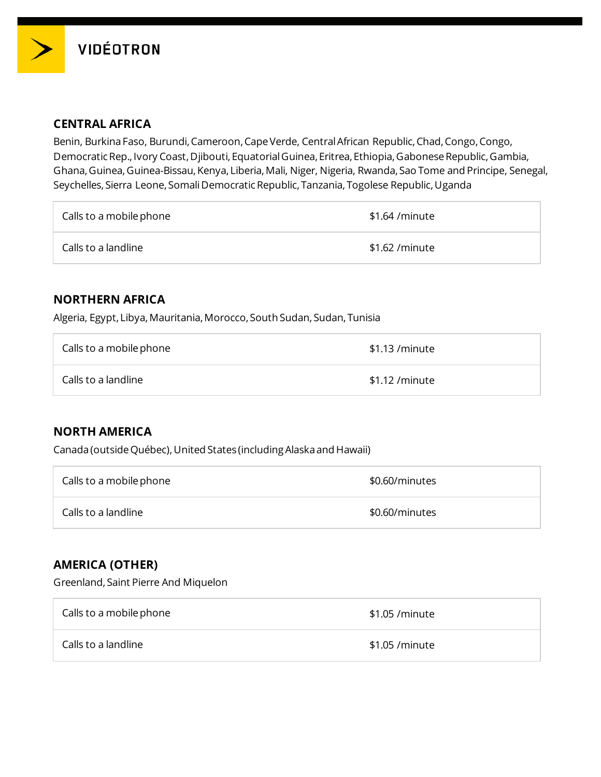

### **CENTRAL AFRICA**

Benin, Burkina Faso, Burundi, Cameroon, Cape Verde, Central African Republic, Chad, Congo, Congo, Democratic Rep., Ivory Coast, Djibouti, Equatorial Guinea, Eritrea, Ethiopia, Gabonese Republic, Gambia, Ghana,Guinea,Guinea-Bissau,Kenya, Liberia,Mali, Niger, Nigeria, Rwanda, Sao Tome and Principe, Senegal, Seychelles, Sierra Leone, Somali Democratic Republic, Tanzania, Togolese Republic,Uganda

| Calls to a mobile phone | \$1.64 /minute  |
|-------------------------|-----------------|
| Calls to a landline     | \$1.62 / minute |

### **NORTHERN AFRICA**

Algeria, Egypt, Libya, Mauritania, Morocco, South Sudan, Sudan, Tunisia

| Calls to a mobile phone | \$1.13 /minute  |
|-------------------------|-----------------|
| Calls to a landline     | $$1.12$ /minute |

## **NORTH AMERICA**

Canada (outside Québec),United States (including Alaska and Hawaii)

| Calls to a mobile phone | \$0.60/minutes |
|-------------------------|----------------|
| Calls to a landline     | \$0.60/minutes |

## **AMERICA (OTHER)**

Greenland, Saint Pierre And Miquelon

| Calls to a mobile phone | \$1.05 / minute |
|-------------------------|-----------------|
| Calls to a landline     | \$1.05 / minute |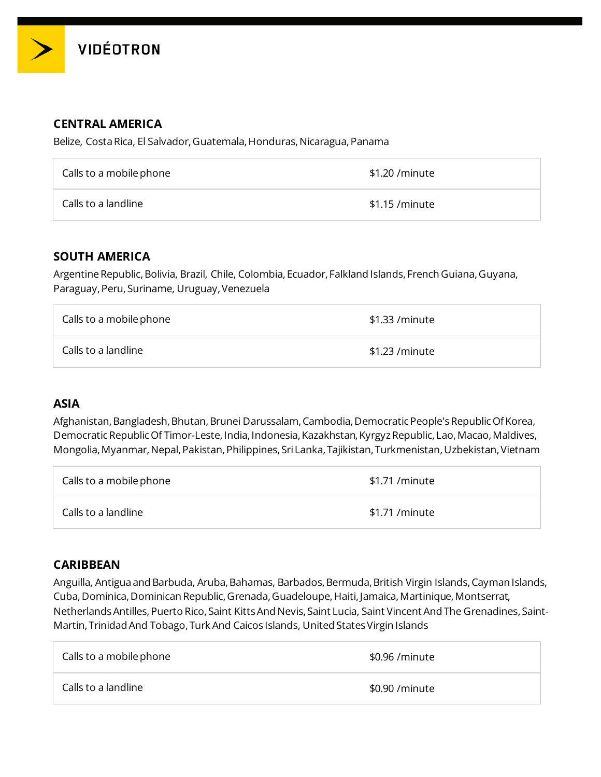

## **CENTRAL AMERICA**

Belize, Costa Rica, El Salvador, Guatemala, Honduras, Nicaragua, Panama

| Calls to a mobile phone | \$1.20 /minute  |
|-------------------------|-----------------|
| Calls to a landline     | $$1.15$ /minute |

#### **SOUTH AMERICA**

Argentine Republic,Bolivia, Brazil, Chile, Colombia, Ecuador, Falkland Islands, French Guiana,Guyana, Paraguay,Peru, Suriname, Uruguay,Venezuela

| Calls to a mobile phone | \$1.33 /minute |
|-------------------------|----------------|
| Calls to a landline     | \$1.23 /minute |

## **ASIA**

Afghanistan, Bangladesh, Bhutan, Brunei Darussalam, Cambodia, Democratic People's Republic Of Korea, Democratic Republic Of Timor-Leste, India, Indonesia, Kazakhstan, Kyrgyz Republic, Lao, Macao, Maldives, Mongolia,Myanmar,Nepal,Pakistan,Philippines, Sri Lanka, Tajikistan, Turkmenistan,Uzbekistan,Vietnam

| Calls to a mobile phone | \$1.71 /minute |
|-------------------------|----------------|
| Calls to a landline     | \$1.71 /minute |

## **CARIBBEAN**

Anguilla, Antigua and Barbuda, Aruba, Bahamas, Barbados, Bermuda, British Virgin Islands, Cayman Islands, Cuba,Dominica,Dominican Republic,Grenada,Guadeloupe,Haiti, Jamaica,Martinique,Montserrat, Netherlands Antilles,Puerto Rico, Saint Kitts And Nevis, Saint Lucia, Saint Vincent And The Grenadines, Saint-Martin, Trinidad And Tobago, Turk And Caicos Islands, United States Virgin Islands

| Calls to a mobile phone | \$0.96 / minute |
|-------------------------|-----------------|
| Calls to a landline     | \$0.90 / minute |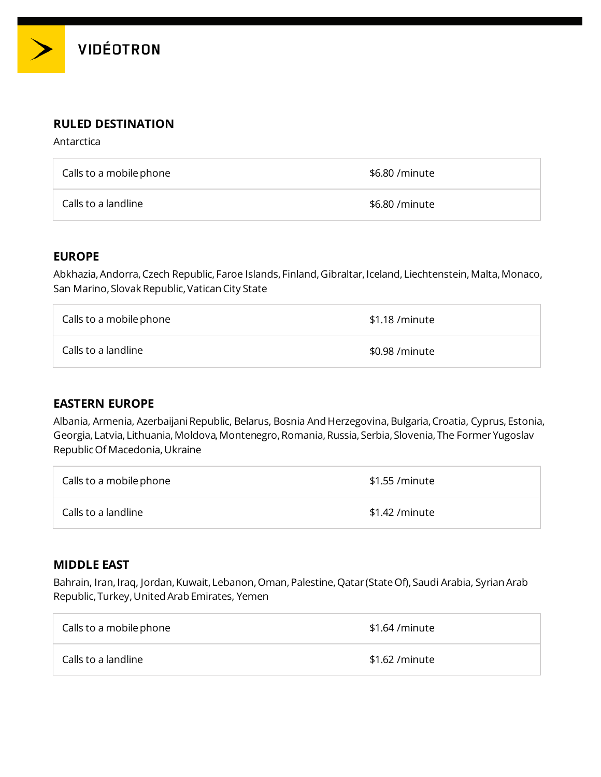

#### **RULED DESTINATION**

Antarctica

| Calls to a mobile phone | \$6.80 / minute |
|-------------------------|-----------------|
| Calls to a landline     | \$6.80 / minute |

#### **EUROPE**

Abkhazia, Andorra, Czech Republic, Faroe Islands, Finland, Gibraltar, Iceland, Liechtenstein, Malta, Monaco, San Marino, Slovak Republic, Vatican City State

| Calls to a mobile phone | $$1.18$ /minute |
|-------------------------|-----------------|
| Calls to a landline     | \$0.98 /minute  |

#### **EASTERN EUROPE**

Albania, Armenia, Azerbaijani Republic, Belarus, Bosnia And Herzegovina, Bulgaria, Croatia, Cyprus, Estonia, Georgia, Latvia, Lithuania,Moldova,Montenegro,Romania,Russia, Serbia, Slovenia, The Former Yugoslav Republic Of Macedonia,Ukraine

| Calls to a mobile phone | \$1.55 /minute  |
|-------------------------|-----------------|
| Calls to a landline     | \$1.42 / minute |

#### **MIDDLE EAST**

Bahrain, Iran, Iraq, Jordan, Kuwait, Lebanon, Oman, Palestine, Qatar (State Of), Saudi Arabia, Syrian Arab Republic, Turkey,United Arab Emirates, Yemen

| Calls to a mobile phone | \$1.64 /minute |
|-------------------------|----------------|
| Calls to a landline     | \$1.62 /minute |